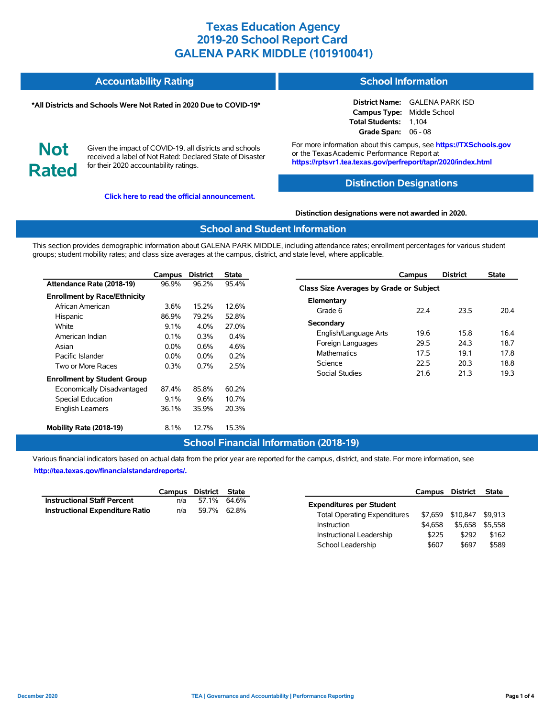#### **Accountability Rating School Information**

#### **\*All Districts and Schools Were Not Rated in 2020 Due to COVID-19\***

# **Not Rated**

Given the impact of COVID-19, all districts and schools received a label of Not Rated: Declared State of Disaster for their 2020 accountability ratings.

**[Click here to read the official announcement.](https://tea.texas.gov/about-tea/news-and-multimedia/correspondence/taa-letters/every-student-succeeds-act-essa-waiver-approval-2020-state-academic-accountability)**

**District Name:** GALENA PARK ISD **Campus Type:** Middle School

**Total Students:** 1,104 **Grade Span:** 06 - 08

For more information about this campus, see **https://TXSchools.gov** or the TexasAcademic Performance Report at **https://rptsvr1.tea.texas.gov/perfreport/tapr/2020/index.html**

## **Distinction Designations**

#### **Distinction designations were not awarded in 2020.**

#### **School and Student Information**

This section provides demographic information about GALENA PARK MIDDLE, including attendance rates; enrollment percentages for various student groups; student mobility rates; and class size averages at the campus, district, and state level, where applicable.

|                                     | Campus  | <b>District</b> | <b>State</b> |
|-------------------------------------|---------|-----------------|--------------|
| Attendance Rate (2018-19)           | 96.9%   | 96.2%           | 95.4%        |
| <b>Enrollment by Race/Ethnicity</b> |         |                 |              |
| African American                    | 3.6%    | 15.2%           | 12.6%        |
| Hispanic                            | 86.9%   | 79.2%           | 52.8%        |
| White                               | $9.1\%$ | 4.0%            | 27.0%        |
| American Indian                     | $0.1\%$ | $0.3\%$         | $0.4\%$      |
| Asian                               | $0.0\%$ | $0.6\%$         | 4.6%         |
| Pacific Islander                    | $0.0\%$ | $0.0\%$         | 0.2%         |
| Two or More Races                   | 0.3%    | $0.7\%$         | 2.5%         |
| <b>Enrollment by Student Group</b>  |         |                 |              |
| Economically Disadvantaged          | 87.4%   | 85.8%           | 60.2%        |
| <b>Special Education</b>            | $9.1\%$ | 9.6%            | 10.7%        |
| <b>English Learners</b>             | 36.1%   | 35.9%           | 20.3%        |
| Mobility Rate (2018-19)             | $8.1\%$ | 12.7%           | 15.3%        |

|                                         | Campus | <b>District</b> | <b>State</b> |  |  |  |  |
|-----------------------------------------|--------|-----------------|--------------|--|--|--|--|
| Class Size Averages by Grade or Subject |        |                 |              |  |  |  |  |
| Elementary                              |        |                 |              |  |  |  |  |
| Grade 6                                 | 22 4   | 23.5            | 204          |  |  |  |  |
| Secondary                               |        |                 |              |  |  |  |  |
| English/Language Arts                   | 19.6   | 15.8            | 16.4         |  |  |  |  |
| Foreign Languages                       | 29.5   | 24.3            | 18.7         |  |  |  |  |
| <b>Mathematics</b>                      | 17.5   | 19.1            | 17.8         |  |  |  |  |
| Science                                 | 22.5   | 20.3            | 18.8         |  |  |  |  |
| Social Studies                          | 21.6   | 21.3            | 19.3         |  |  |  |  |

### **School Financial Information (2018-19)**

Various financial indicators based on actual data from the prior year are reported for the campus, district, and state. For more information, see **[http://tea.texas.gov/financialstandardreports/.](http://tea.texas.gov/financialstandardreports/)**

|                                        | Campus District State |             |  |
|----------------------------------------|-----------------------|-------------|--|
| <b>Instructional Staff Percent</b>     | n/a                   | 57.1% 64.6% |  |
| <b>Instructional Expenditure Ratio</b> | n/a                   | 59.7% 62.8% |  |

|                                     | Campus  | District | <b>State</b> |  |  |
|-------------------------------------|---------|----------|--------------|--|--|
| <b>Expenditures per Student</b>     |         |          |              |  |  |
| <b>Total Operating Expenditures</b> | \$7.659 | \$10,847 | \$9.913      |  |  |
| Instruction                         | \$4.658 | \$5.658  | \$5.558      |  |  |
| Instructional Leadership            | \$225   | \$292    | \$162        |  |  |
| School Leadership                   | \$607   | \$697    | \$589        |  |  |

Ĭ.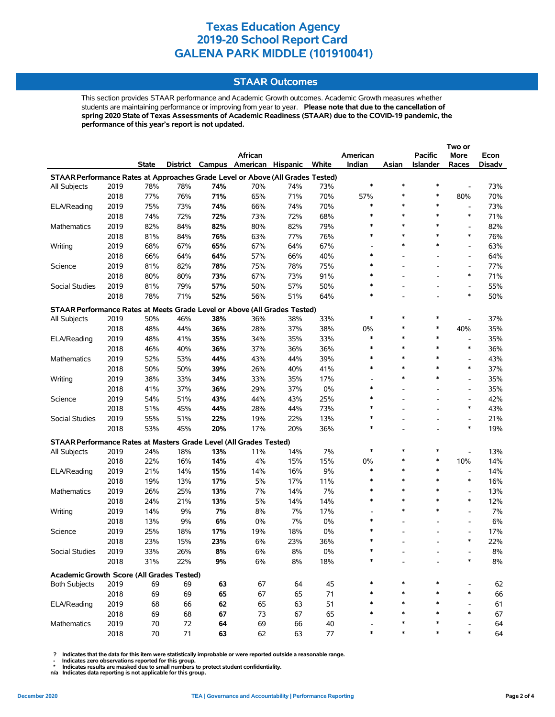#### **STAAR Outcomes**

This section provides STAAR performance and Academic Growth outcomes. Academic Growth measures whether students are maintaining performance or improving from year to year. **Please note that due to the cancellation of spring 2020 State of Texas Assessments of Academic Readiness (STAAR) due to the COVID-19 pandemic, the performance of this year's report is not updated.**

|                                                                                |              |          |          |          |                                   |          |               |          |        |                          | Two or                   |          |
|--------------------------------------------------------------------------------|--------------|----------|----------|----------|-----------------------------------|----------|---------------|----------|--------|--------------------------|--------------------------|----------|
|                                                                                |              |          |          |          | African                           |          |               | American |        | <b>Pacific</b>           | More                     | Econ     |
|                                                                                |              | State    |          |          | District Campus American Hispanic |          | White         | Indian   | Asian  | <b>Islander</b>          | Races                    | Disadv   |
| STAAR Performance Rates at Approaches Grade Level or Above (All Grades Tested) |              |          |          |          |                                   |          |               |          |        |                          |                          |          |
| All Subjects                                                                   | 2019         | 78%      | 78%      | 74%      | 70%                               | 74%      | 73%           | $\ast$   | $\ast$ | $\ast$                   | $\overline{\phantom{a}}$ | 73%      |
|                                                                                | 2018         | 77%      | 76%      | 71%      | 65%                               | 71%      | 70%           | 57%      | $\ast$ | $\ast$                   | 80%                      | 70%      |
| ELA/Reading                                                                    | 2019         | 75%      | 73%      | 74%      | 66%                               | 74%      | 70%           | $\ast$   | $\ast$ | *                        | $\overline{\phantom{a}}$ | 73%      |
|                                                                                | 2018         | 74%      | 72%      | 72%      | 73%                               | 72%      | 68%           | $\ast$   | $\ast$ | $\ast$                   | $\ast$                   | 71%      |
| <b>Mathematics</b>                                                             | 2019         | 82%      | 84%      | 82%      | 80%                               | 82%      | 79%           | $\ast$   | $\ast$ | *                        | $\overline{\phantom{a}}$ | 82%      |
|                                                                                | 2018         | 81%      | 84%      | 76%      | 63%                               | 77%      | 76%           | $\ast$   | $\ast$ | $\ast$                   | $\ast$                   | 76%      |
| Writing                                                                        | 2019         | 68%      | 67%      | 65%      | 67%                               | 64%      | 67%           |          | $\ast$ | $\ast$                   | $\overline{\phantom{a}}$ | 63%      |
|                                                                                | 2018         | 66%      | 64%      | 64%      | 57%                               | 66%      | 40%           | $\ast$   |        |                          | $\overline{\phantom{a}}$ | 64%      |
| Science                                                                        | 2019         | 81%      | 82%      | 78%      | 75%                               | 78%      | 75%           | $\ast$   |        |                          | $\overline{\phantom{a}}$ | 77%      |
|                                                                                | 2018         | 80%      | 80%      | 73%      | 67%                               | 73%      | 91%           | $\ast$   |        |                          | $\ast$                   | 71%      |
| Social Studies                                                                 | 2019         | 81%      | 79%      | 57%      | 50%                               | 57%      | 50%           | $\ast$   |        |                          | $\overline{\phantom{a}}$ | 55%      |
|                                                                                | 2018         | 78%      | 71%      | 52%      | 56%                               | 51%      | 64%           | $\ast$   |        | $\overline{\phantom{0}}$ | $\ast$                   | 50%      |
| STAAR Performance Rates at Meets Grade Level or Above (All Grades Tested)      |              |          |          |          |                                   |          |               |          |        |                          |                          |          |
| All Subjects                                                                   | 2019         | 50%      | 46%      | 38%      | 36%                               | 38%      | 33%           | $\ast$   | ∗      | $\ast$                   |                          | 37%      |
|                                                                                | 2018         | 48%      | 44%      | 36%      | 28%                               | 37%      | 38%           | 0%       | $\ast$ | $\ast$                   | 40%                      | 35%      |
| ELA/Reading                                                                    | 2019         | 48%      | 41%      | 35%      | 34%                               | 35%      | 33%           | $\ast$   | $\ast$ | *                        | $\overline{\phantom{a}}$ | 35%      |
|                                                                                | 2018         | 46%      | 40%      | 36%      | 37%                               | 36%      | 36%           | $\ast$   | $\ast$ | $\ast$                   | $\ast$                   | 36%      |
| Mathematics                                                                    | 2019         | 52%      | 53%      | 44%      | 43%                               | 44%      | 39%           | $\ast$   | $\ast$ | *                        | $\overline{\phantom{a}}$ | 43%      |
|                                                                                | 2018         | 50%      | 50%      | 39%      | 26%                               | 40%      | 41%           | $\ast$   | $\ast$ | $\ast$                   | $\ast$                   | 37%      |
| Writing                                                                        | 2019         | 38%      | 33%      | 34%      | 33%                               | 35%      | 17%           |          | $\ast$ | $\ast$                   | $\overline{a}$           | 35%      |
|                                                                                | 2018         | 41%      | 37%      | 36%      | 29%                               | 37%      | 0%            | $\ast$   |        | $\overline{a}$           | $\overline{\phantom{a}}$ | 35%      |
| Science                                                                        | 2019         | 54%      | 51%      | 43%      | 44%                               | 43%      | 25%           | $\ast$   |        | $\overline{\phantom{0}}$ | $\overline{\phantom{a}}$ | 42%      |
|                                                                                | 2018         | 51%      | 45%      | 44%      | 28%                               | 44%      | 73%           | $\ast$   |        |                          | $\ast$                   | 43%      |
| Social Studies                                                                 | 2019         | 55%      | 51%      | 22%      | 19%                               | 22%      | 13%           | ∗        |        | $\overline{a}$           | $\overline{\phantom{a}}$ | 21%      |
|                                                                                | 2018         | 53%      | 45%      | 20%      | 17%                               | 20%      | 36%           | $\ast$   |        |                          | $\ast$                   | 19%      |
| STAAR Performance Rates at Masters Grade Level (All Grades Tested)             |              |          |          |          |                                   |          |               |          |        |                          |                          |          |
| All Subjects                                                                   | 2019         | 24%      | 18%      | 13%      | 11%                               | 14%      | 7%            | $\ast$   | $\ast$ | *                        |                          | 13%      |
|                                                                                | 2018         | 22%      | 16%      | 14%      | 4%                                | 15%      | 15%           | 0%       | *      | $\ast$                   | 10%                      | 14%      |
| ELA/Reading                                                                    | 2019         | 21%      | 14%      | 15%      | 14%                               | 16%      | 9%            | $\ast$   | $\ast$ | $\ast$                   | $\overline{\phantom{a}}$ | 14%      |
|                                                                                | 2018         | 19%      | 13%      | 17%      | 5%                                | 17%      | 11%           | $\ast$   | $\ast$ | *                        | $\ast$                   | 16%      |
| <b>Mathematics</b>                                                             | 2019         | 26%      | 25%      | 13%      | 7%                                | 14%      | 7%            | $\ast$   | $\ast$ | *                        | $\overline{\phantom{a}}$ | 13%      |
|                                                                                | 2018         | 24%      | 21%      | 13%      | 5%                                | 14%      | 14%           | $\ast$   | $\ast$ | $\ast$                   | $\ast$                   | 12%      |
| Writing                                                                        | 2019         | 14%      | 9%       | 7%       | 8%                                | 7%       | 17%           |          | $\ast$ | $\ast$                   | $\overline{\phantom{a}}$ | 7%       |
|                                                                                | 2018         | 13%      | 9%       | 6%       | 0%                                | 7%       | 0%            | $\ast$   |        |                          | $\overline{\phantom{a}}$ | 6%       |
| Science                                                                        | 2019         | 25%      | 18%      | 17%      | 19%                               | 18%      | 0%            | $\ast$   |        |                          | $\overline{a}$           | 17%      |
|                                                                                | 2018         | 23%      | 15%      | 23%      | 6%                                | 23%      | 36%           | $\ast$   |        |                          | $\ast$                   | 22%      |
| Social Studies                                                                 | 2019         | 33%      | 26%      | 8%       | $6\%$                             | 8%       | $0\%$         |          |        |                          |                          | 8%       |
|                                                                                | 2018         | 31%      | 22%      | 9%       | 6%                                | 8%       | 18%           |          |        |                          |                          | $8\%$    |
|                                                                                |              |          |          |          |                                   |          |               |          |        |                          |                          |          |
| Academic Growth Score (All Grades Tested)                                      |              |          |          |          |                                   |          |               |          |        | *                        |                          |          |
| <b>Both Subjects</b>                                                           | 2019         | 69       | 69       | 63       | 67                                | 64       | 45            |          |        |                          | $\ast$                   | 62       |
|                                                                                | 2018         | 69       | 69       | 65       | 67                                | 65       | 71            |          |        | *                        |                          | 66       |
| ELA/Reading                                                                    | 2019<br>2018 | 68       | 66<br>68 | 62       | 65<br>73                          | 63<br>67 | 51            | $\ast$   |        | *                        | $\ast$                   | 61<br>67 |
| Mathematics                                                                    | 2019         | 69<br>70 | 72       | 67<br>64 | 69                                | 66       | 65            |          |        | *                        |                          | 64       |
|                                                                                | 2018         | $70\,$   | 71       | 63       | 62                                | 63       | 40<br>$77 \,$ | $\ast$   |        | $\ast$                   | $\ast$                   | 64       |
|                                                                                |              |          |          |          |                                   |          |               |          |        |                          |                          |          |

 **? Indicates that the data for this item were statistically improbable or were reported outside a reasonable range.**

 **- Indicates zero observations reported for this group. \* Indicates results are masked due to small numbers to protect student confidentiality.**

**n/a Indicates data reporting is not applicable for this group.**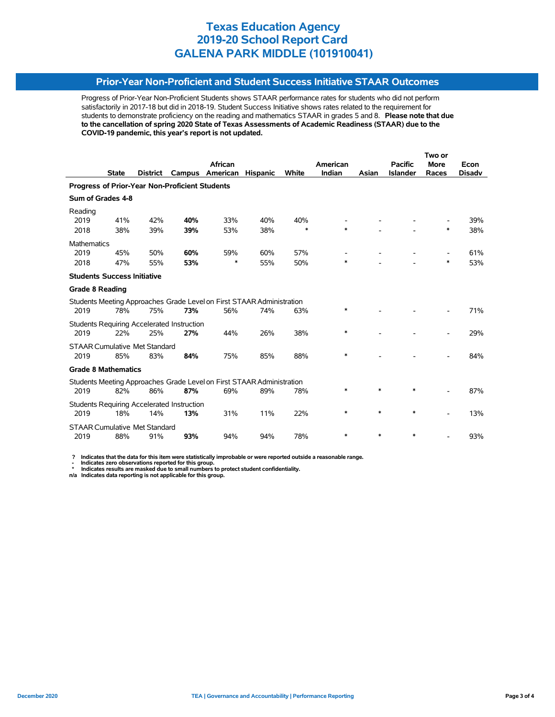### **Prior-Year Non-Proficient and Student Success Initiative STAAR Outcomes**

Progress of Prior-Year Non-Proficient Students shows STAAR performance rates for students who did not perform satisfactorily in 2017-18 but did in 2018-19. Student Success Initiative shows rates related to the requirement for students to demonstrate proficiency on the reading and mathematics STAAR in grades 5 and 8. **Please note that due to the cancellation of spring 2020 State of Texas Assessments of Academic Readiness (STAAR) due to the COVID-19 pandemic, this year's report is not updated.**

|                                      |              |          |                                                   |                                                                       |                 |        |          |        |                 | Two or      |               |  |  |
|--------------------------------------|--------------|----------|---------------------------------------------------|-----------------------------------------------------------------------|-----------------|--------|----------|--------|-----------------|-------------|---------------|--|--|
|                                      |              |          |                                                   | <b>African</b>                                                        |                 |        | American |        | <b>Pacific</b>  | <b>More</b> | Econ          |  |  |
|                                      | <b>State</b> | District | Campus                                            | American                                                              | <b>Hispanic</b> | White  | Indian   | Asian  | <b>Islander</b> | Races       | <b>Disadv</b> |  |  |
|                                      |              |          | Progress of Prior-Year Non-Proficient Students    |                                                                       |                 |        |          |        |                 |             |               |  |  |
| Sum of Grades 4-8                    |              |          |                                                   |                                                                       |                 |        |          |        |                 |             |               |  |  |
| Reading<br>2019                      | 41%          | 42%      | 40%                                               | 33%                                                                   | 40%             | 40%    |          |        |                 |             | 39%           |  |  |
| 2018                                 | 38%          | 39%      | 39%                                               | 53%                                                                   | 38%             | $\ast$ | $\ast$   |        |                 | $\ast$      | 38%           |  |  |
| <b>Mathematics</b>                   |              |          |                                                   |                                                                       |                 |        |          |        |                 |             |               |  |  |
| 2019                                 | 45%          | 50%      | 60%                                               | 59%                                                                   | 60%             | 57%    |          |        |                 |             | 61%           |  |  |
| 2018                                 | 47%          | 55%      | 53%                                               | *                                                                     | 55%             | 50%    | *        |        |                 | *           | 53%           |  |  |
| <b>Students Success Initiative</b>   |              |          |                                                   |                                                                       |                 |        |          |        |                 |             |               |  |  |
| <b>Grade 8 Reading</b>               |              |          |                                                   |                                                                       |                 |        |          |        |                 |             |               |  |  |
|                                      |              |          |                                                   | Students Meeting Approaches Grade Level on First STAAR Administration |                 |        |          |        |                 |             |               |  |  |
| 2019                                 | 78%          | 75%      | 73%                                               | 56%                                                                   | 74%             | 63%    | *        |        |                 |             | 71%           |  |  |
|                                      |              |          | <b>Students Requiring Accelerated Instruction</b> |                                                                       |                 |        |          |        |                 |             |               |  |  |
| 2019                                 | 22%          | 25%      | 27%                                               | 44%                                                                   | 26%             | 38%    | *        |        |                 |             | 29%           |  |  |
| <b>STAAR Cumulative Met Standard</b> |              |          |                                                   |                                                                       |                 |        |          |        |                 |             |               |  |  |
| 2019                                 | 85%          | 83%      | 84%                                               | 75%                                                                   | 85%             | 88%    | *        |        |                 |             | 84%           |  |  |
| <b>Grade 8 Mathematics</b>           |              |          |                                                   |                                                                       |                 |        |          |        |                 |             |               |  |  |
|                                      |              |          |                                                   | Students Meeting Approaches Grade Level on First STAAR Administration |                 |        |          |        |                 |             |               |  |  |
| 2019                                 | 82%          | 86%      | 87%                                               | 69%                                                                   | 89%             | 78%    | *        | $\ast$ | *               |             | 87%           |  |  |
|                                      |              |          | <b>Students Requiring Accelerated Instruction</b> |                                                                       |                 |        | *        | $\ast$ | $\ast$          |             |               |  |  |
| 2019                                 | 18%          | 14%      | 13%                                               | 31%                                                                   | 11%             | 22%    |          |        |                 |             | 13%           |  |  |
| <b>STAAR Cumulative Met Standard</b> |              |          |                                                   |                                                                       |                 | 78%    | *        | $\ast$ | *               |             |               |  |  |
| 2019                                 | 88%          | 91%      | 93%                                               | 94%                                                                   | 94%             |        |          |        |                 |             | 93%           |  |  |

 **? Indicates that the data for this item were statistically improbable or were reported outside a reasonable range.**

 **- Indicates zero observations reported for this group. \* Indicates results are masked due to small numbers to protect student confidentiality.**

**n/a Indicates data reporting is not applicable for this group.**